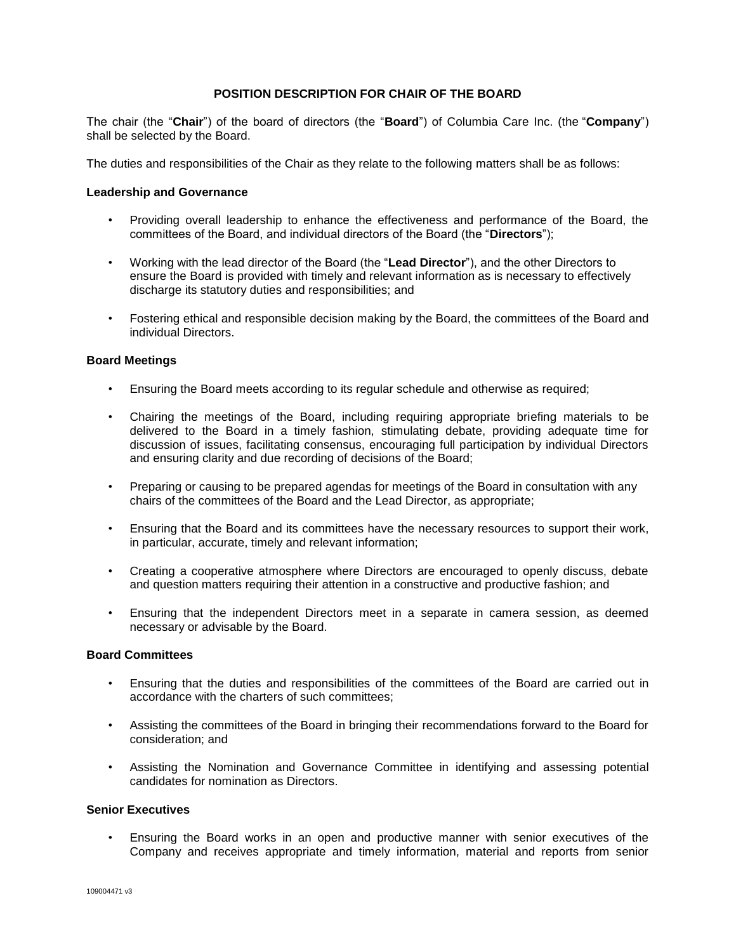# **POSITION DESCRIPTION FOR CHAIR OF THE BOARD**

The chair (the "**Chair**") of the board of directors (the "**Board**") of Columbia Care Inc. (the "**Company**") shall be selected by the Board.

The duties and responsibilities of the Chair as they relate to the following matters shall be as follows:

## **Leadership and Governance**

- Providing overall leadership to enhance the effectiveness and performance of the Board, the committees of the Board, and individual directors of the Board (the "**Directors**");
- Working with the lead director of the Board (the "**Lead Director**"), and the other Directors to ensure the Board is provided with timely and relevant information as is necessary to effectively discharge its statutory duties and responsibilities; and
- Fostering ethical and responsible decision making by the Board, the committees of the Board and individual Directors.

### **Board Meetings**

- Ensuring the Board meets according to its regular schedule and otherwise as required;
- Chairing the meetings of the Board, including requiring appropriate briefing materials to be delivered to the Board in a timely fashion, stimulating debate, providing adequate time for discussion of issues, facilitating consensus, encouraging full participation by individual Directors and ensuring clarity and due recording of decisions of the Board;
- Preparing or causing to be prepared agendas for meetings of the Board in consultation with any chairs of the committees of the Board and the Lead Director, as appropriate;
- Ensuring that the Board and its committees have the necessary resources to support their work, in particular, accurate, timely and relevant information;
- Creating a cooperative atmosphere where Directors are encouraged to openly discuss, debate and question matters requiring their attention in a constructive and productive fashion; and
- Ensuring that the independent Directors meet in a separate in camera session, as deemed necessary or advisable by the Board.

## **Board Committees**

- Ensuring that the duties and responsibilities of the committees of the Board are carried out in accordance with the charters of such committees;
- Assisting the committees of the Board in bringing their recommendations forward to the Board for consideration; and
- Assisting the Nomination and Governance Committee in identifying and assessing potential candidates for nomination as Directors.

### **Senior Executives**

• Ensuring the Board works in an open and productive manner with senior executives of the Company and receives appropriate and timely information, material and reports from senior